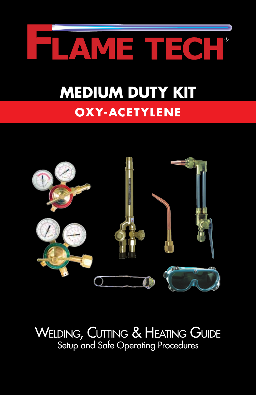

# **OXY-ACETYLENE Medium Duty Kit**



Welding, Cutting & Heating Guide Setup and Safe Operating Procedures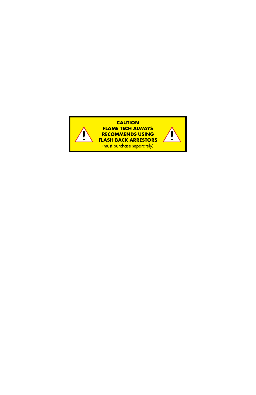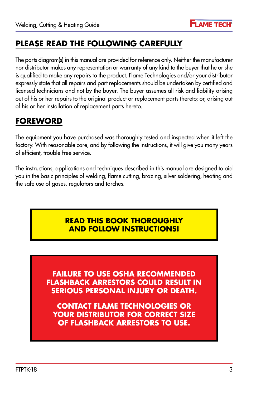

### **Please read the following carefully**

The parts diagram(s) in this manual are provided for reference only. Neither the manufacturer nor distributor makes any representation or warranty of any kind to the buyer that he or she is qualified to make any repairs to the product. Flame Technologies and/or your distributor expressly state that all repairs and part replacements should be undertaken by certified and licensed technicians and not by the buyer. The buyer assumes all risk and liability arising out of his or her repairs to the original product or replacement parts thereto; or, arising out of his or her installation of replacement parts hereto.

### **Foreword**

The equipment you have purchased was thoroughly tested and inspected when it left the factory. With reasonable care, and by following the instructions, it will give you many years of efficient, trouble-free service.

The instructions, applications and techniques described in this manual are designed to aid you in the basic principles of welding, flame cutting, brazing, silver soldering, heating and the safe use of gases, regulators and torches.

#### **Read this book thoroughly and follow instructions!**

**Failure to use OSHA recommended flashback arrestors could result in serious personal injury or death.**

**Contact flame technologies or your distributor for correct size of flashback arrestors to use.**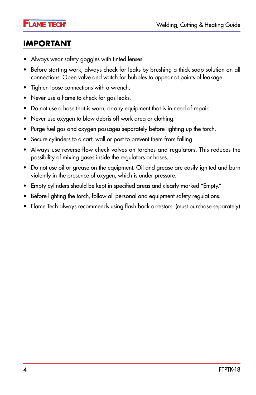**FLAME TECH<sup>®</sup>** 

### **Important**

- • Always wear safety goggles with tinted lenses.
- • Before starting work, always check for leaks by brushing a thick soap solution on all connections. Open valve and watch for bubbles to appear at points of leakage.
- Tighten loose connections with a wrench.
- Never use a flame to check for gas leaks.
- Do not use a hose that is worn, or any equipment that is in need of repair.
- Never use oxygen to blow debris off work area or clothing.
- • Purge fuel gas and oxygen passages separately before lighting up the torch.
- Secure cylinders to a cart, wall or post to prevent them from falling.
- • Always use reverse-flow check valves on torches and regulators. This reduces the possibility of mixing gases inside the regulators or hoses.
- Do not use oil or grease on the equipment. Oil and grease are easily ignited and burn violently in the presence of oxygen, which is under pressure.
- Empty cylinders should be kept in specified areas and clearly marked "Empty."
- Before lighting the torch, follow all personal and equipment safety regulations.
- Flame Tech always recommends using flash back arrestors. (must purchase separately)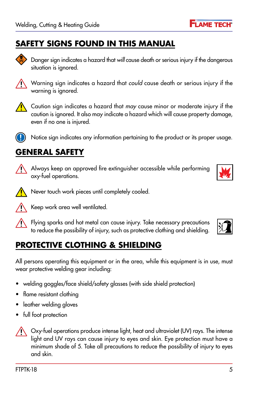### **Safety SIGNS FOUND IN THIS MANUAL**

Danger sign indicates a hazard that *will* cause death or serious injury if the dangerous situation is ignored.

Warning sign indicates a hazard that *could* cause death or serious injury if the warning is ignored.

Caution sign indicates a hazard that *may* cause minor or moderate injury if the caution is ignored. It also may indicate a hazard which will cause property damage, even if no one is injured.

Notice sign indicates any information pertaining to the product or its proper usage.

### **General safety**

Always keep an approved fire extinguisher accessible while performing oxy-fuel operations.

Never touch work pieces until completely cooled.

Keep work area well ventilated.

Flying sparks and hot metal can cause injury. Take necessary precautions to reduce the possibility of injury, such as protective clothing and shielding.

### **Protective Clothing & Shielding**

All persons operating this equipment or in the area, while this equipment is in use, must wear protective welding gear including:

- welding goggles/face shield/safety glasses (with side shield protection)
- flame resistant clothing
- leather welding gloves
- full foot protection

Oxy-fuel operations produce intense light, heat and ultraviolet (UV) rays. The intense light and UV rays can cause injury to eyes and skin. Eye protection must have a minimum shade of 5. Take all precautions to reduce the possibility of injury to eyes and skin.





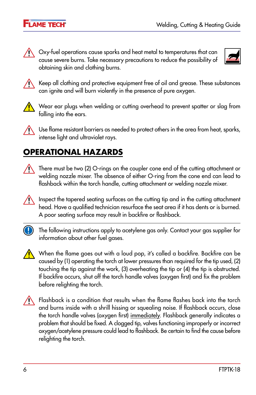

 $\bigwedge$  Oxy-fuel operations cause sparks and heat metal to temperatures that can cause severe burns. Take necessary precautions to reduce the possibility of obtaining skin and clothing burns.





Keep all clothing and protective equipment free of oil and grease. These substances can ignite and will burn violently in the presence of pure oxygen.



 $\bigwedge$  Wear ear plugs when welding or cutting overhead to prevent spatter or slag from falling into the ears.



 $\bigwedge$  Use flame resistant barriers as needed to protect others in the area from heat, sparks, intense light and ultraviolet rays.

### **Operational hazards**

There must be two (2) O-rings on the coupler cone end of the cutting attachment or welding nozzle mixer. The absence of either O-ring from the cone end can lead to flashback within the torch handle, cutting attachment or welding nozzle mixer.

Inspect the tapered seating surfaces on the cutting tip and in the cutting attachment  $\wedge$ head. Have a qualified technician resurface the seat area if it has dents or is burned. A poor seating surface may result in backfire or flashback.



**Combinator** The following instructions apply to acetylene gas only. Contact your gas supplier for information about other fuel gases.



When the flame goes out with a loud pop, it's called a backfire. Backfire can be caused by (1) operating the torch at lower pressures than required for the tip used, (2) touching the tip against the work, (3) overheating the tip or (4) the tip is obstructed. If backfire occurs, shut off the torch handle valves (oxygen first) and fix the problem before relighting the torch.



Flashback is a condition that results when the flame flashes back into the torch and burns inside with a shrill hissing or squealing noise. If flashback occurs, close the torch handle valves (oxygen first) immediately. Flashback generally indicates a problem that should be fixed. A clogged tip, valves functioning improperly or incorrect oxygen/acetylene pressure could lead to flashback. Be certain to find the cause before relighting the torch.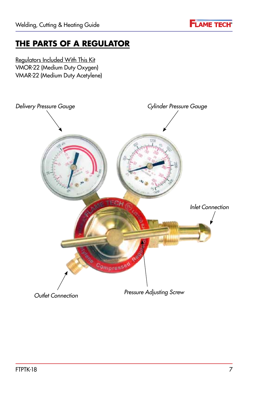

### **The parts of a regulator**

Regulators Included With This Kit VMOR-22 (Medium Duty Oxygen) VMAR-22 (Medium Duty Acetylene)

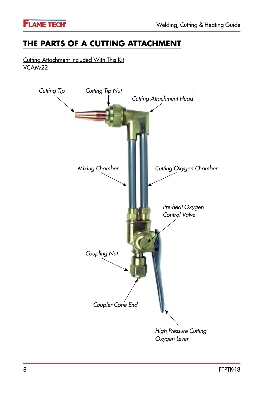

### **The parts of a cutting attachment**

Cutting Attachment Included With This Kit VCAM-22

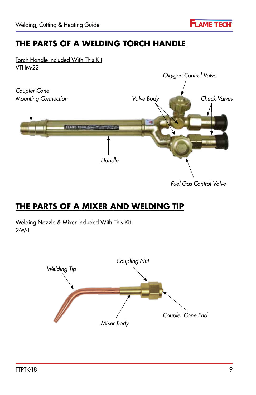

### **The parts of a welding torch handle**

Torch Handle Included With This Kit VTHM-22



### **The parts of a mixer and welding tip**

Welding Nozzle & Mixer Included With This Kit 2-W-1

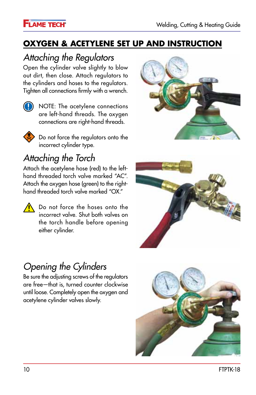### **Oxygen & acetylene set up and instruction**

# *Attaching the Regulators*

Open the cylinder valve slightly to blow out dirt, then close. Attach regulators to the cylinders and hoses to the regulators. Tighten all connections firmly with a wrench.



**(1)** NOTE: The acetylene connections are left-hand threads. The oxygen connections are right-hand threads.



Do not force the regulators onto the incorrect cylinder type.

# *Attaching the Torch*

Attach the acetylene hose (red) to the lefthand threaded torch valve marked "AC". Attach the oxygen hose (green) to the righthand threaded torch valve marked "OX."

 $\bigwedge$  Do not force the hoses onto the incorrect valve. Shut both valves on the torch handle before opening either cylinder.





# *Opening the Cylinders*

Be sure the adjusting screws of the regulators are free—that is, turned counter clockwise until loose. Completely open the oxygen and acetylene cylinder valves slowly.

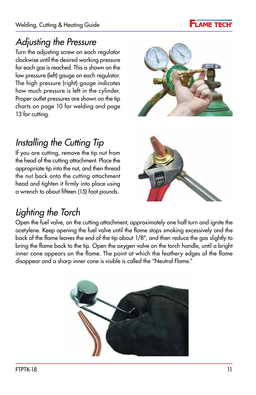

### *Adjusting the Pressure*

Turn the adjusting screw on each regulator clockwise until the desired working pressure for each gas is reached. This is shown on the low pressure (left) gauge on each regulator. The high pressure (right) gauge indicates how much pressure is left in the cylinder. Proper outlet pressures are shown on the tip charts on page 10 for welding and page 13 for cutting.



# *Installing the Cutting Tip*

If you are cutting, remove the tip nut from the head of the cutting attachment. Place the appropriate tip into the nut, and then thread the nut back onto the cutting attachment head and tighten it firmly into place using a wrench to about fifteen (15) foot pounds.



### *Lighting the Torch*

Open the fuel valve, on the cutting attachment, approximately one half turn and ignite the acetylene. Keep opening the fuel valve until the flame stops smoking excessively and the back of the flame leaves the end of the tip about 1/8", and then reduce the gas slightly to bring the flame back to the tip. Open the oxygen valve on the torch handle, until a bright inner cone appears on the flame. The point at which the feathery edges of the flame disappear and a sharp inner cone is visible is called the "Neutral Flame."

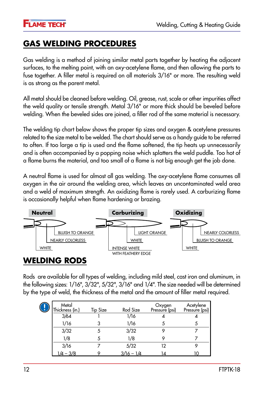### **Gas Welding Procedures**

Gas welding is a method of joining similar metal parts together by heating the adjacent surfaces, to the melting point, with an oxy-acetylene flame, and then allowing the parts to fuse together. A filler metal is required on all materials 3/16" or more. The resulting weld is as strong as the parent metal.

All metal should be cleaned before welding. Oil, grease, rust, scale or other impurities affect the weld quality or tensile strength. Metal 3/16" or more thick should be beveled before welding. When the beveled sides are joined, a filler rod of the same material is necessary.

The welding tip chart below shows the proper tip sizes and oxygen & acetylene pressures related to the size metal to be welded. The chart should serve as a handy guide to be referred to often. If too large a tip is used and the flame softened, the tip heats up unnecessarily and is often accompanied by a popping noise which splatters the weld puddle. Too hot of a flame burns the material, and too small of a flame is not big enough get the job done.

A neutral flame is used for almost all gas welding. The oxy-acetylene flame consumes all oxygen in the air around the welding area, which leaves an uncontaminated weld area and a weld of maximum strength. An oxidizing flame is rarely used. A carburizing flame is occasionally helpful when flame hardening or brazing.



#### **Welding rods**

Rods are available for all types of welding, including mild steel, cast iron and aluminum, in the following sizes: 1/16", 3/32", 5/32", 3/16" and 1/4". The size needed will be determined by the type of weld, the thickness of the metal and the amount of filler metal required.

| Metal<br>Thickness (in.) | <b>Tip Size</b> | Rod Size     | Oxygen<br>Pressure (psi) | Acetylene<br>Pressure (psi) |  |
|--------------------------|-----------------|--------------|--------------------------|-----------------------------|--|
| 3/64                     |                 | 1/16         |                          |                             |  |
| 1/16                     |                 | 1/16         |                          |                             |  |
| 3/32                     |                 | 3/32         |                          |                             |  |
| 1/8                      |                 | 1/8          |                          |                             |  |
| 3/16<br>1/4 – 3/8        |                 | 5/32         | 12                       |                             |  |
|                          |                 | $3/16 - 1/4$ | 14                       | າດ                          |  |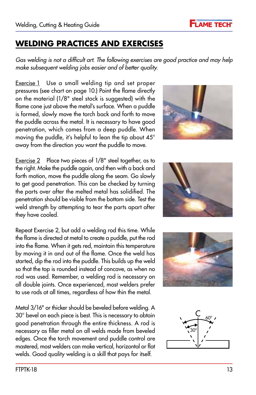### **Welding Practices and Exercises**

*Gas welding is not a difficult art. The following exercises are good practice and may help make subsequent welding jobs easier and of better quality.*

Exercise 1 Use a small welding tip and set proper pressures (see chart on page 10.) Point the flame directly on the material (1/8" steel stock is suggested) with the flame cone just above the metal's surface. When a puddle is formed, slowly move the torch back and forth to move the puddle across the metal. It is necessary to have good penetration, which comes from a deep puddle. When moving the puddle, it's helpful to lean the tip about 45° away from the direction you want the puddle to move.

Exercise 2 Place two pieces of 1/8" steel together, as to the right. Make the puddle again, and then with a back and forth motion, move the puddle along the seam. Go slowly to get good penetration. This can be checked by turning the parts over after the melted metal has solidified. The penetration should be visible from the bottom side. Test the weld strength by attempting to tear the parts apart after they have cooled.

Repeat Exercise 2, but add a welding rod this time. While the flame is directed at metal to create a puddle, put the rod into the flame. When it gets red, maintain this temperature by moving it in and out of the flame. Once the weld has started, dip the rod into the puddle. This builds up the weld so that the top is rounded instead of concave, as when no rod was used. Remember, a welding rod is necessary on all double joints. Once experienced, most welders prefer to use rods at all times, regardless of how thin the metal.

Metal 3/16" or thicker should be beveled before welding. A 30° bevel on each piece is best. This is necessary to obtain good penetration through the entire thickness. A rod is necessary as filler metal on all welds made from beveled edges. Once the torch movement and puddle control are mastered, most welders can make vertical, horizontal or flat welds. Good quality welding is a skill that pays for itself.









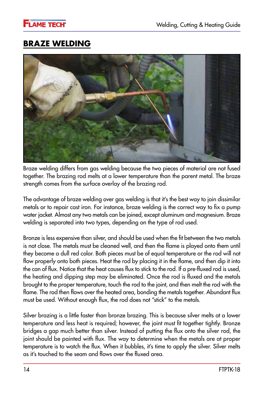### **Braze welding**



Braze welding differs from gas welding because the two pieces of material are not fused together. The brazing rod melts at a lower temperature than the parent metal. The braze strength comes from the surface overlay of the brazing rod.

The advantage of braze welding over gas welding is that it's the best way to join dissimilar metals or to repair cast iron. For instance, braze welding is the correct way to fix a pump water jacket. Almost any two metals can be joined, except aluminum and magnesium. Braze welding is separated into two types, depending on the type of rod used.

Bronze is less expensive than silver, and should be used when the fit between the two metals is not close. The metals must be cleaned well, and then the flame is played onto them until they become a dull red color. Both pieces must be of equal temperature or the rod will not flow properly onto both pieces. Heat the rod by placing it in the flame, and then dip it into the can of flux. Notice that the heat causes flux to stick to the rod. If a pre-fluxed rod is used, the heating and dipping step may be eliminated. Once the rod is fluxed and the metals brought to the proper temperature, touch the rod to the joint, and then melt the rod with the flame. The rod then flows over the heated area, bonding the metals together. Abundant flux must be used. Without enough flux, the rod does not "stick" to the metals.

Silver brazing is a little faster than bronze brazing. This is because silver melts at a lower temperature and less heat is required; however, the joint must fit together tightly. Bronze bridges a gap much better than silver. Instead of putting the flux onto the silver rod, the joint should be painted with flux. The way to determine when the metals are at proper temperature is to watch the flux. When it bubbles, it's time to apply the silver. Silver melts as it's touched to the seam and flows over the fluxed area.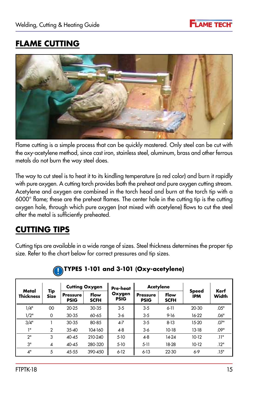

### **Flame cutting**



Flame cutting is a simple process that can be quickly mastered. Only steel can be cut with the oxy-acetylene method, since cast iron, stainless steel, aluminum, brass and other ferrous metals do not burn the way steel does.

The way to cut steel is to heat it to its kindling temperature (a red color) and burn it rapidly with pure oxygen. A cutting torch provides both the preheat and pure oxygen cutting stream. Acetylene and oxygen are combined in the torch head and burn at the torch tip with a 6000° flame; these are the preheat flames. The center hole in the cutting tip is the cutting oxygen hole, through which pure oxygen (not mixed with acetylene) flows to cut the steel after the metal is sufficiently preheated.

### **Cutting tips**

Cutting tips are available in a wide range of sizes. Steel thickness determines the proper tip size. Refer to the chart below for correct pressures and tip sizes.

|                           | Tip<br><b>Size</b> | <b>Cutting Oxygen</b>          |                     | Pre-heat              | <b>Acetylene</b>               |                     |                            |               |
|---------------------------|--------------------|--------------------------------|---------------------|-----------------------|--------------------------------|---------------------|----------------------------|---------------|
| Metal<br><b>Thickness</b> |                    | <b>Pressure</b><br><b>PSIG</b> | Flow<br><b>SCFH</b> | Oxygen<br><b>PSIG</b> | <b>Pressure</b><br><b>PSIG</b> | Flow<br><b>SCFH</b> | <b>Speed</b><br><b>IPM</b> | Kerf<br>Width |
| 1/4"                      | 00                 | $20 - 25$                      | $30 - 35$           | $3 - 5$               | $3 - 5$                        | $6 - 11$            | $20 - 30$                  | .05"          |
| 1/2"                      | 0                  | $30 - 35$                      | $60 - 65$           | 3-6                   | $3 - 5$                        | $9 - 16$            | $16-22$                    | .06"          |
| 3/4"                      |                    | $30 - 35$                      | 80-85               | $4 - 7$               | $3 - 5$                        | $8 - 13$            | $15-20$                    | .07"          |
| 11                        | $\overline{2}$     | $35 - 40$                      | 104-160             | $4 - 8$               | $3-6$                          | $10-18$             | $13-18$                    | .09"          |
| 2"                        | 3                  | $40 - 45$                      | 210-240             | $5-10$                | $4 - 8$                        | 14-24               | $10-12$                    | .11"          |
| 3"                        | 4                  | $40 - 45$                      | 280-320             | $5-10$                | $5-11$                         | 18-28               | $10-12$                    | .12"          |
| 4"                        | 5                  | 45-55                          | 390-450             | $6 - 12$              | $6 - 13$                       | $22 - 30$           | $6-9$                      | .15"          |

#### **TYPES 1-101 and 3-101 (Oxy-acetylene)**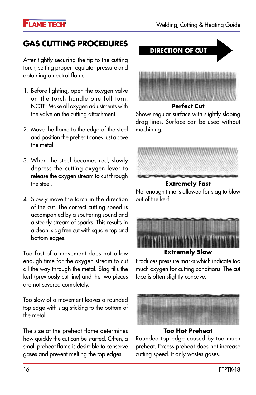#### **FLAME TECH<sup>®</sup>**

### **Gas cutting procedures**

After tightly securing the tip to the cutting torch, setting proper regulator pressure and obtaining a neutral flame:

- 1. Before lighting, open the oxygen valve on the torch handle one full turn. NOTE: Make all oxygen adjustments with the valve on the cutting attachment.
- 2. Move the flame to the edge of the steel and position the preheat cones just above the metal.
- 3. When the steel becomes red, slowly depress the cutting oxygen lever to release the oxygen stream to cut through the steel.
- 4. Slowly move the torch in the direction of the cut. The correct cutting speed is accompanied by a sputtering sound and a steady stream of sparks. This results in a clean, slag free cut with square top and bottom edges.

Too fast of a movement does not allow enough time for the oxygen stream to cut all the way through the metal. Slag fills the kerf (previously cut line) and the two pieces are not severed completely.

Too slow of a movement leaves a rounded top edge with slag sticking to the bottom of the metal.

The size of the preheat flame determines how quickly the cut can be started. Often, a small preheat flame is desirable to conserve gases and prevent melting the top edges.



Shows regular surface with slightly sloping drag lines. Surface can be used without machining.



Not enough time is allowed for slag to blow out of the kerf.



**Extremely Slow**

Produces pressure marks which indicate too much oxygen for cutting conditions. The cut face is often slightly concave.



**Too Hot Preheat**

Rounded top edge caused by too much preheat. Excess preheat does not increase cutting speed. It only wastes gases.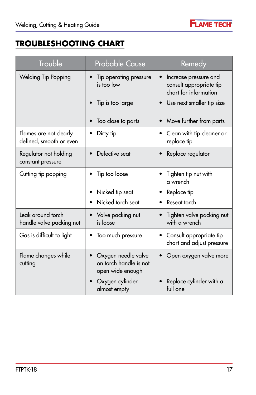

## **Troubleshooting Chart**

| <b>Trouble</b>                                    | <b>Probable Cause</b>                                             | Remedy                                                                    |  |  |
|---------------------------------------------------|-------------------------------------------------------------------|---------------------------------------------------------------------------|--|--|
| Welding Tip Popping                               | Tip operating pressure<br>is too low                              | Increase pressure and<br>consult appropriate tip<br>chart for information |  |  |
|                                                   | Tip is too large                                                  | Use next smaller tip size                                                 |  |  |
|                                                   | Too close to parts                                                | Move further from parts                                                   |  |  |
| Flames are not clearly<br>defined, smooth or even | Dirty tip                                                         | Clean with tip cleaner or<br>replace tip                                  |  |  |
| Regulator not holding<br>constant pressure        | Defective seat                                                    | Replace regulator                                                         |  |  |
| Cutting tip popping                               | Tip too loose                                                     | Tighten tip nut with<br>a wrench                                          |  |  |
|                                                   | Nicked tip seat                                                   | Replace tip                                                               |  |  |
|                                                   | Nicked torch seat                                                 | Reseat torch                                                              |  |  |
| Leak around torch<br>handle valve packing nut     | Valve packing nut<br>is loose                                     | Tighten valve packing nut<br>with a wrench                                |  |  |
| Gas is difficult to light                         | Too much pressure                                                 | Consult appropriate tip<br>chart and adjust pressure                      |  |  |
| Flame changes while<br>cutting                    | Oxygen needle valve<br>on torch handle is not<br>open wide enough | Open oxygen valve more                                                    |  |  |
|                                                   | Oxygen cylinder<br>almost empty                                   | Replace cylinder with a<br>full one                                       |  |  |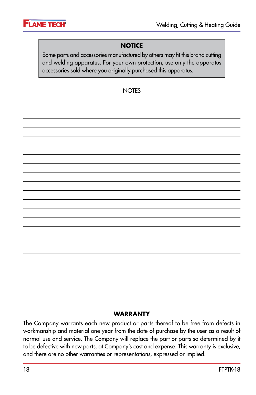

#### **NOTICE**

Some parts and accessories manufactured by others may fit this brand cutting and welding apparatus. For your own protection, use only the apparatus accessories sold where you originally purchased this apparatus.

#### **NOTES**

#### **Warranty**

The Company warrants each new product or parts thereof to be free from defects in workmanship and material one year from the date of purchase by the user as a result of normal use and service. The Company will replace the part or parts so determined by it to be defective with new parts, at Company's cost and expense. This warranty is exclusive, and there are no other warranties or representations, expressed or implied.